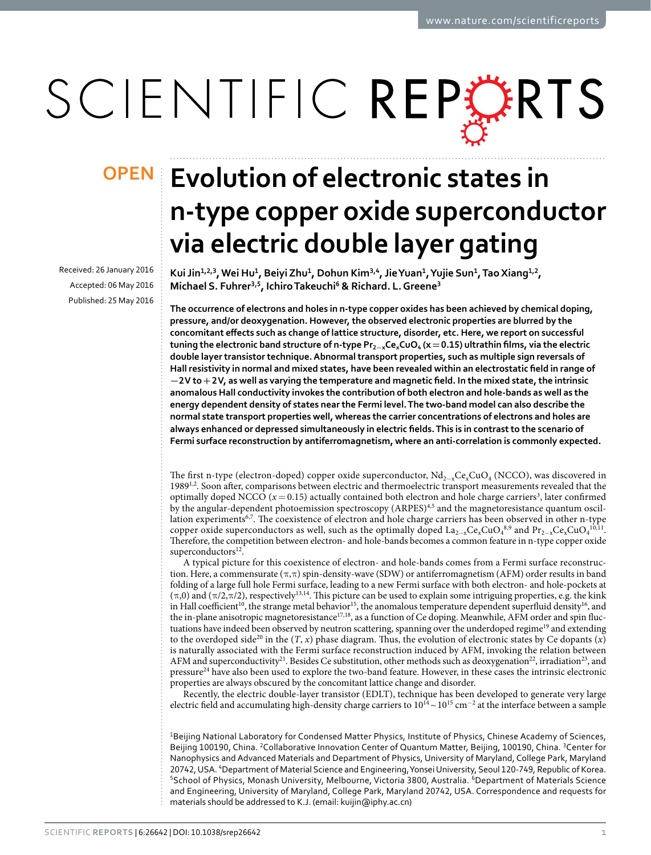# SCIENTIFIC REPERTS

Received: 26 January 2016 accepted: 06 May 2016 Published: 25 May 2016

## **Evolution of electronic states in OPENn-type copper oxide superconductor via electric double layer gating**

Kui Jin<sup>1,2,3</sup>, Wei Hu<sup>1</sup>, Beiyi Zhu<sup>1</sup>, Dohun Kim<sup>3,4</sup>, Jie Yuan<sup>1</sup>, Yujie Sun<sup>1</sup>, Tao Xiang<sup>1,2</sup>, **Michael S. Fuhrer<sup>3</sup>,<sup>5</sup>, IchiroTakeuchi<sup>6</sup> & Richard. L.Greene<sup>3</sup>**

**The occurrence of electrons and holes in n-type copper oxides has been achieved by chemical doping, pressure, and/or deoxygenation. However, the observed electronic properties are blurred by the concomitant effects such as change of lattice structure, disorder, etc. Here, we report on successful tuning the electronic band structure of n-type Pr<sup>2</sup>−xCexCuO4 (x=0.15) ultrathin films, via the electric double layer transistor technique. Abnormal transport properties, such as multiple sign reversals of Hall resistivity in normal and mixed states, have been revealed within an electrostatic field in range of −2V to+2V, as well as varying the temperature and magnetic field. In the mixed state, the intrinsic anomalous Hall conductivity invokes the contribution of both electron and hole-bands as well as the energy dependent density of states near the Fermi level. The two-band model can also describe the normal state transport properties well, whereas the carrier concentrations of electrons and holes are always enhanced or depressed simultaneously in electric fields. This is in contrast to the scenario of Fermi surface reconstruction by antiferromagnetism, where an anti-correlation is commonly expected.**

The first n-type (electron-doped) copper oxide superconductor,  $Nd_{2-x}Ce_xCuO_4$  (NCCO), was discovered in 198[91](#page-4-0)[,2](#page-4-1). Soon after, comparisons between electric and thermoelectric transport measurements revealed that the optimally doped NCCO  $(x=0.15)$  actually contained both electron and hole charge carriers<sup>3</sup>, later confirmed by the angular-dependent photoemission spectroscopy (ARPES)[4,](#page-4-3)[5](#page-4-4) and the magnetoresistance quantum oscil-lation experiments<sup>[6,](#page-4-5)7</sup>. The coexistence of electron and hole charge carriers has been observed in other n-type copper oxide superconductors as well, such as the optimally doped  $La_{2-x}Ce_xCuO_4^{8,9}$  $La_{2-x}Ce_xCuO_4^{8,9}$  $La_{2-x}Ce_xCuO_4^{8,9}$  $La_{2-x}Ce_xCuO_4^{8,9}$  and  $Pr_{2-x}Ce_xCuO_4^{10,11}$  $Pr_{2-x}Ce_xCuO_4^{10,11}$  $Pr_{2-x}Ce_xCuO_4^{10,11}$ . Therefore, the competition between electron- and hole-bands becomes a common feature in n-type copper oxide superconductors<sup>[12](#page-5-3)</sup>.

A typical picture for this coexistence of electron- and hole-bands comes from a Fermi surface reconstruction. Here, a commensurate  $(\pi,\pi)$  spin-density-wave (SDW) or antiferromagnetism (AFM) order results in band folding of a large full hole Fermi surface, leading to a new Fermi surface with both electron- and hole-pockets at  $(\pi,0)$  and  $(\pi/2,\pi/2)$ , respectively<sup>13[,14](#page-5-5)</sup>. This picture can be used to explain some intriguing properties, e.g. the kink in Hall coefficient<sup>10</sup>, the strange metal behavior<sup>[15](#page-5-6)</sup>, the anomalous temperature dependent superfluid density<sup>16</sup>, and the in-plane anisotropic magnetoresistance<sup>17,18</sup>, as a function of Ce doping. Meanwhile, AFM order and spin fluc-tuations have indeed been observed by neutron scattering, spanning over the underdoped regime<sup>[19](#page-5-10)</sup> and extending to the overdoped side<sup>20</sup> in the  $(T, x)$  phase diagram. Thus, the evolution of electronic states by Ce dopants  $(x)$ is naturally associated with the Fermi surface reconstruction induced by AFM, invoking the relation between AFM and superconductivity<sup>[21](#page-5-12)</sup>. Besides Ce substitution, other methods such as deoxygenation<sup>22</sup>, irradiation<sup>[23](#page-5-14)</sup>, and pressure<sup>24</sup> have also been used to explore the two-band feature. However, in these cases the intrinsic electronic properties are always obscured by the concomitant lattice change and disorder.

Recently, the electric double-layer transistor (EDLT), technique has been developed to generate very large electric field and accumulating high-density charge carriers to  $10^{14}$  ~  $10^{15}$  cm<sup>-2</sup> at the interface between a sample

<sup>1</sup>Beijing National Laboratory for Condensed Matter Physics, Institute of Physics, Chinese Academy of Sciences, Beijing 100190, China. <sup>2</sup>Collaborative Innovation Center of Quantum Matter, Beijing, 100190, China. <sup>3</sup>Center for Nanophysics and Advanced Materials and Department of Physics, University of Maryland, College Park, Maryland 20742, USA. <sup>4</sup>Department of Material Science and Engineering, Yonsei University, Seoul 120-749, Republic of Korea. <sup>5</sup>School of Physics, Monash University, Melbourne, Victoria 3800, Australia. <sup>6</sup>Department of Materials Science and Engineering, University of Maryland, College Park, Maryland 20742, USA. Correspondence and requests for materials should be addressed to K.J. (email: [kuijin@iphy.ac.cn](mailto:kuijin@iphy.ac.cn))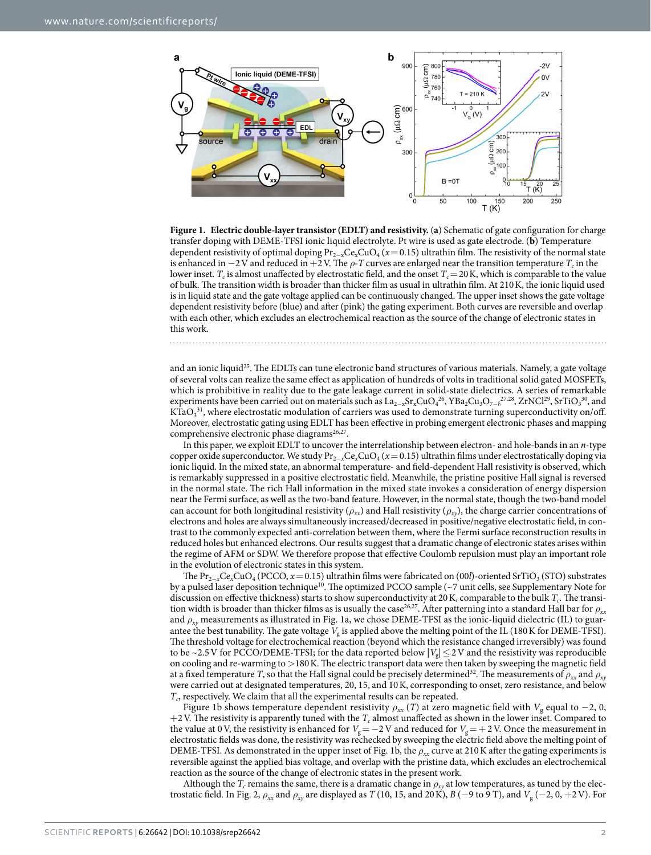

<span id="page-1-0"></span>**Figure 1. Electric double-layer transistor (EDLT) and resistivity.** (**a**) Schematic of gate configuration for charge transfer doping with DEME-TFSI ionic liquid electrolyte. Pt wire is used as gate electrode. (**b**) Temperature dependent resistivity of optimal doping Pr<sub>2−x</sub>Ce<sub>x</sub>CuO<sub>4</sub> (*x* = 0.15) ultrathin film. The resistivity of the normal state is enhanced in  $-2V$  and reduced in  $+2V$ . The  $\rho$ -T curves are enlarged near the transition temperature  $T_c$  in the lower inset.  $T_c$  is almost unaffected by electrostatic field, and the onset  $T_c = 20$  K, which is comparable to the value of bulk. The transition width is broader than thicker film as usual in ultrathin film. At 210K, the ionic liquid used is in liquid state and the gate voltage applied can be continuously changed. The upper inset shows the gate voltage dependent resistivity before (blue) and after (pink) the gating experiment. Both curves are reversible and overlap with each other, which excludes an electrochemical reaction as the source of the change of electronic states in this work.

and an ionic liquid<sup>[25](#page-5-16)</sup>. The EDLTs can tune electronic band structures of various materials. Namely, a gate voltage of several volts can realize the same effect as application of hundreds of volts in traditional solid gated MOSFETs, which is prohibitive in reality due to the gate leakage current in solid-state dielectrics. A series of remarkable experiments have been carried out on materials such as  $La_{2-x}Sr_xCuO_4^{26}$ ,  $YBa_2Cu_3O_{7-\delta}^{77,28}$  $YBa_2Cu_3O_{7-\delta}^{77,28}$  $YBa_2Cu_3O_{7-\delta}^{77,28}$ ,  $ZrNCl^{29}$  $ZrNCl^{29}$  $ZrNCl^{29}$ ,  $SrTiO_3^{30}$  $SrTiO_3^{30}$  $SrTiO_3^{30}$ , and KTa $O_3$ <sup>31</sup>, where electrostatic modulation of carriers was used to demonstrate turning superconductivity on/off. Moreover, electrostatic gating using EDLT has been effective in probing emergent electronic phases and mapping comprehensive electronic phase diagrams<sup>26[,27](#page-5-18)</sup>.

In this paper, we exploit EDLT to uncover the interrelationship between electron- and hole-bands in an *n*-type copper oxide superconductor. We study Pr2<sup>−</sup>*x*Ce*x*CuO4 (*x*= 0.15) ultrathin films under electrostatically doping via ionic liquid. In the mixed state, an abnormal temperature- and field-dependent Hall resistivity is observed, which is remarkably suppressed in a positive electrostatic field. Meanwhile, the pristine positive Hall signal is reversed in the normal state. The rich Hall information in the mixed state invokes a consideration of energy dispersion near the Fermi surface, as well as the two-band feature. However, in the normal state, though the two-band model can account for both longitudinal resistivity  $(\rho_{xx})$  and Hall resistivity  $(\rho_{xy})$ , the charge carrier concentrations of electrons and holes are always simultaneously increased/decreased in positive/negative electrostatic field, in contrast to the commonly expected anti-correlation between them, where the Fermi surface reconstruction results in reduced holes but enhanced electrons. Our results suggest that a dramatic change of electronic states arises within the regime of AFM or SDW. We therefore propose that effective Coulomb repulsion must play an important role in the evolution of electronic states in this system.

The Pr<sub>2−*x*</sub>Ce<sub>*x*</sub>CuO<sub>4</sub> (PCCO, *x* = 0.15) ultrathin films were fabricated on (00*l*)-oriented SrTiO<sub>3</sub> (STO) substrates by a pulsed laser deposition technique<sup>[10](#page-5-1)</sup>. The optimized PCCO sample (~7 unit cells, see Supplementary Note for discussion on effective thickness) starts to show superconductivity at 20 K, comparable to the bulk  $T_c$ . The transi-tion width is broader than thicker films as is usually the case<sup>[26](#page-5-17),[27](#page-5-18)</sup>. After patterning into a standard Hall bar for  $\rho_{xx}$ and *ρxy* measurements as illustrated in [Fig. 1a](#page-1-0), we chose DEME-TFSI as the ionic-liquid dielectric (IL) to guarantee the best tunability. The gate voltage  $V_g$  is applied above the melting point of the IL (180 K for DEME-TFSI). The threshold voltage for electrochemical reaction (beyond which the resistance changed irreversibly) was found to be ~2.5 V for PCCO/DEME-TFSI; for the data reported below  $|V_g| \le 2V$  and the resistivity was reproducible on cooling and re-warming to >180K. The electric transport data were then taken by sweeping the magnetic field at a fixed temperature *T*, so that the Hall signal could be precisely determined<sup>[32](#page-5-23)</sup>. The measurements of  $\rho_{xx}$  and  $\rho_{xy}$ were carried out at designated temperatures, 20, 15, and 10K, corresponding to onset, zero resistance, and below  $T_c$ , respectively. We claim that all the experimental results can be repeated.

[Figure 1b](#page-1-0) shows temperature dependent resistivity  $\rho_{xx}$  (*T*) at zero magnetic field with  $V_g$  equal to −2, 0,  $+2$  V. The resistivity is apparently tuned with the  $T_c$  almost unaffected as shown in the lower inset. Compared to the value at 0 V, the resistivity is enhanced for *V*<sub>g</sub> = −2 V and reduced for *V*<sub>g</sub> = + 2 V. Once the measurement in electrostatic fields was done, the resistivity was rechecked by sweeping the electric field above the melting point of DEME-TFSI. As demonstrated in the upper inset of [Fig. 1b,](#page-1-0) the *ρxx* curve at 210K after the gating experiments is reversible against the applied bias voltage, and overlap with the pristine data, which excludes an electrochemical reaction as the source of the change of electronic states in the present work.

Although the  $T_c$  remains the same, there is a dramatic change in  $\rho_{xy}$  at low temperatures, as tuned by the elec-trostatic field. In [Fig. 2](#page-2-0),  $\rho_{xx}$  and  $\rho_{xy}$  are displayed as *T* (10, 15, and 20 K), *B* (−9 to 9 T), and  $V_g$  (−2, 0, +2 V). For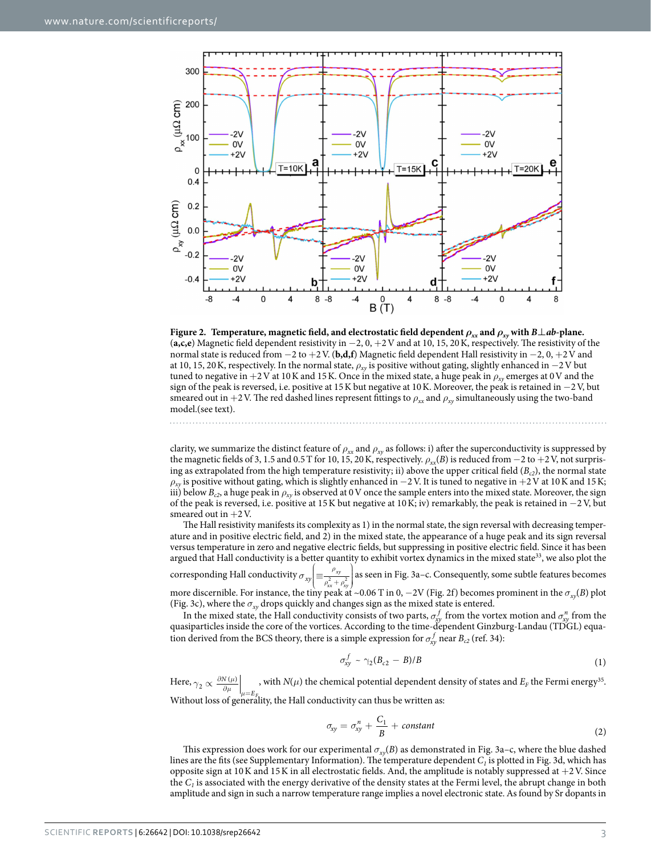

<span id="page-2-0"></span>**Figure 2.** Temperature, magnetic field, and electrostatic field dependent  $\rho_{xx}$  and  $\rho_{xy}$  with  $B \perp ab$ -plane. (**a,c,e**) Magnetic field dependent resistivity in −2, 0, +2V and at 10, 15, 20K, respectively. The resistivity of the normal state is reduced from −2 to +2V. (**b,d,f**) Magnetic field dependent Hall resistivity in −2, 0, +2V and at 10, 15, 20K, respectively. In the normal state, *ρxy* is positive without gating, slightly enhanced in −2V but tuned to negative in +2V at 10K and 15K. Once in the mixed state, a huge peak in *ρxy* emerges at 0V and the sign of the peak is reversed, i.e. positive at 15K but negative at 10K. Moreover, the peak is retained in −2V, but smeared out in  $+2V$ . The red dashed lines represent fittings to  $\rho_{xx}$  and  $\rho_{xy}$  simultaneously using the two-band model.(see text).

clarity, we summarize the distinct feature of  $\rho_{xx}$  and  $\rho_{xy}$  as follows: i) after the superconductivity is suppressed by the magnetic fields of 3, 1.5 and 0.5 T for 10, 15, 20 K, respectively.  $\rho_{xx}(B)$  is reduced from  $-2$  to  $+2$  V, not surprising as extrapolated from the high temperature resistivity; ii) above the upper critical field ( $B_{c2}$ ), the normal state *ρxy* is positive without gating, which is slightly enhanced in −2V. It is tuned to negative in +2V at 10K and 15K; iii) below  $B_{c2}$ , a huge peak in  $\rho_{xy}$  is observed at 0 V once the sample enters into the mixed state. Moreover, the sign of the peak is reversed, i.e. positive at 15K but negative at 10K; iv) remarkably, the peak is retained in −2V, but smeared out in  $+2V$ .

The Hall resistivity manifests its complexity as 1) in the normal state, the sign reversal with decreasing temperature and in positive electric field, and 2) in the mixed state, the appearance of a huge peak and its sign reversal versus temperature in zero and negative electric fields, but suppressing in positive electric field. Since it has been argued that Hall conductivity is a better quantity to exhibit vortex dynamics in the mixed state<sup>33</sup>, we also plot the corresponding Hall conductivity  $\sigma_{xy}$  $\left(\equiv \frac{\rho_{xy}}{\rho_{xx}^2 + \rho_{xy}^2}\right)$  $\cdot$ *ρ*  $\mathbf{g}_{xy} \equiv \frac{\rho_{xy}}{\rho_{xx}^2 + \rho_{yy}}$  $\left(\frac{r_{xy}}{x^2 + \rho_{xy}^2}\right)$  as seen in [Fig. 3a–c.](#page-3-0) Consequently, some subtle features becomes

more discernible. For instance, the tiny peak at ~0.06 T in 0, −2V [\(Fig. 2f](#page-2-0)) becomes prominent in the *σxy*(*B*) plot ([Fig. 3c](#page-3-0)), where the  $\sigma_{xy}$  drops quickly and changes sign as the mixed state is entered.

In the mixed state, the Hall conductivity consists of two parts,  $\sigma_y^f$  from the vortex motion and  $\sigma_{xy}^n$  from the quasiparticles inside the core of the vortices. According to the time-dependent Ginzburg-Landau (TDGL) equation derived from the BCS theory, there is a simple expression for  $\sigma_{xy}^f$  near  $B_{c2}$  (ref. [34\)](#page-5-25):

$$
\sigma_{xy}^f \sim \gamma_2 (B_{c2} - B)/B \tag{1}
$$

Here,  $\gamma_2 \propto \frac{\partial N(\mu)}{\partial \mu} \bigg|_{\mu}$ ∂  $\partial^{\mu}$  =  $2 \propto \frac{\partial N(\mu)}{\partial \mu}\bigg|_{\mu=E}$ Without loss of generality, the Hall conductivity can thus be written as: , with *N*( $\mu$ ) the chemical potential dependent density of states and  $E_F$  the Fermi energy<sup>35</sup>.

$$
\sigma_{xy} = \sigma_{xy}^n + \frac{C_1}{B} + constant \tag{2}
$$

This expression does work for our experimental *σxy*(*B*) as demonstrated in [Fig. 3a–c,](#page-3-0) where the blue dashed lines are the fits (see Supplementary Information). The temperature dependent  $C<sub>1</sub>$  is plotted in [Fig. 3d](#page-3-0), which has opposite sign at  $10K$  and  $15K$  in all electrostatic fields. And, the amplitude is notably suppressed at  $+2V$ . Since the *C1* is associated with the energy derivative of the density states at the Fermi level, the abrupt change in both amplitude and sign in such a narrow temperature range implies a novel electronic state. As found by Sr dopants in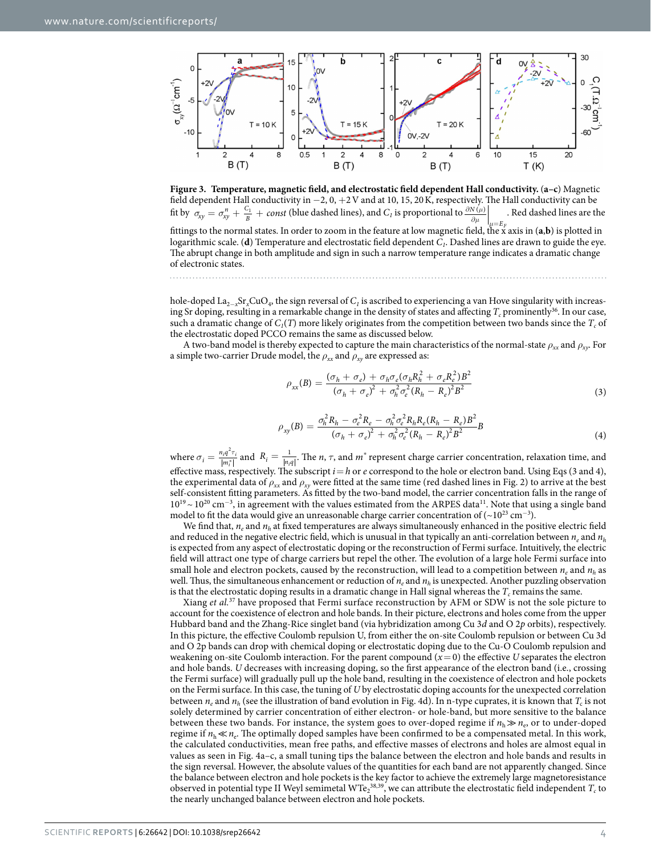

<span id="page-3-0"></span>

hole-doped La2−*x*Sr*x*CuO4, the sign reversal of *C1* is ascribed to experiencing a van Hove singularity with increasing Sr doping, resulting in a remarkable change in the density of states and affecting  $T_c$  prominently<sup>[36](#page-5-27)</sup>. In our case, such a dramatic change of  $C_1(T)$  more likely originates from the competition between two bands since the  $T_c$  of the electrostatic doped PCCO remains the same as discussed below.

A two-band model is thereby expected to capture the main characteristics of the normal-state *ρxx* and *ρxy*. For a simple two-carrier Drude model, the  $\rho_{xx}$  and  $\rho_{xy}$  are expressed as:

$$
\rho_{xx}(B) = \frac{(\sigma_h + \sigma_e) + \sigma_h \sigma_e (\sigma_h R_h^2 + \sigma_e R_e^2) B^2}{(\sigma_h + \sigma_e)^2 + \sigma_h^2 \sigma_e^2 (R_h - R_e)^2 B^2}
$$
\n(3)

$$
\rho_{xy}(B) = \frac{\sigma_h^2 R_h - \sigma_e^2 R_e - \sigma_h^2 \sigma_e^2 R_h R_e (R_h - R_e) B^2}{(\sigma_h + \sigma_e)^2 + \sigma_h^2 \sigma_e^2 (R_h - R_e)^2 B^2} \tag{4}
$$

where  $\sigma_i = \frac{n_i q^2 \tau}{|m_i^*|}$ *m i i i*  $\frac{2\tau_i}{\left|\frac{\dot{x}}{i}\right|}$  and  $R_i = \frac{1}{\left|n_i q\right|}$  $\frac{1}{|q|}$ . The *n*, *τ*, and *m*<sup>\*</sup> represent charge carrier concentration, relaxation time, and effective mass, respectively. The subscript *i*=*h* or *e* correspond to the hole or electron band. Using Eqs (3 and 4), the experimental data of  $\rho_{xx}$  and  $\rho_{xy}$  were fitted at the same time (red dashed lines in [Fig. 2](#page-2-0)) to arrive at the best self-consistent fitting parameters. As fitted by the two-band model, the carrier concentration falls in the range of 10<sup>19</sup> ~ 10<sup>20</sup> cm<sup>-3</sup>, in agreement with the values estimated from the ARPES data<sup>11</sup>. Note that using a single band model to fit the data would give an unreasonable charge carrier concentration of  $({\sim}10^{23} \text{ cm}^{-3})$ .

We find that,  $n_e$  and  $n_h$  at fixed temperatures are always simultaneously enhanced in the positive electric field and reduced in the negative electric field, which is unusual in that typically an anti-correlation between  $n_e$  and  $n_h$ is expected from any aspect of electrostatic doping or the reconstruction of Fermi surface. Intuitively, the electric field will attract one type of charge carriers but repel the other. The evolution of a large hole Fermi surface into small hole and electron pockets, caused by the reconstruction, will lead to a competition between  $n_e$  and  $n_h$  as well. Thus, the simultaneous enhancement or reduction of  $n_e$  and  $n_h$  is unexpected. Another puzzling observation is that the electrostatic doping results in a dramatic change in Hall signal whereas the  $T_c$  remains the same.

Xiang *et al.*[37](#page-5-28) have proposed that Fermi surface reconstruction by AFM or SDW is not the sole picture to account for the coexistence of electron and hole bands. In their picture, electrons and holes come from the upper Hubbard band and the Zhang-Rice singlet band (via hybridization among Cu 3*d* and O 2*p* orbits), respectively. In this picture, the effective Coulomb repulsion U, from either the on-site Coulomb repulsion or between Cu 3d and O 2p bands can drop with chemical doping or electrostatic doping due to the Cu-O Coulomb repulsion and weakening on-site Coulomb interaction. For the parent compound  $(x=0)$  the effective *U* separates the electron and hole bands. *U* decreases with increasing doping, so the first appearance of the electron band (i.e., crossing the Fermi surface) will gradually pull up the hole band, resulting in the coexistence of electron and hole pockets on the Fermi surface. In this case, the tuning of *U* by electrostatic doping accounts for the unexpected correlation between  $n_e$  and  $n_h$  (see the illustration of band evolution in [Fig. 4d\)](#page-4-8). In n-type cuprates, it is known that  $T_c$  is not solely determined by carrier concentration of either electron- or hole-band, but more sensitive to the balance between these two bands. For instance, the system goes to over-doped regime if  $n_h \gg n_e$ , or to under-doped regime if  $n_h \ll n_e$ . The optimally doped samples have been confirmed to be a compensated metal. In this work, the calculated conductivities, mean free paths, and effective masses of electrons and holes are almost equal in values as seen in [Fig. 4a–c](#page-4-8), a small tuning tips the balance between the electron and hole bands and results in the sign reversal. However, the absolute values of the quantities for each band are not apparently changed. Since the balance between electron and hole pockets is the key factor to achieve the extremely large magnetoresistance observed in potential type II Weyl semimetal WTe<sub>2</sub><sup>[38](#page-5-29),[39](#page-5-30)</sup>, we can attribute the electrostatic field independent  $T_c$  to the nearly unchanged balance between electron and hole pockets.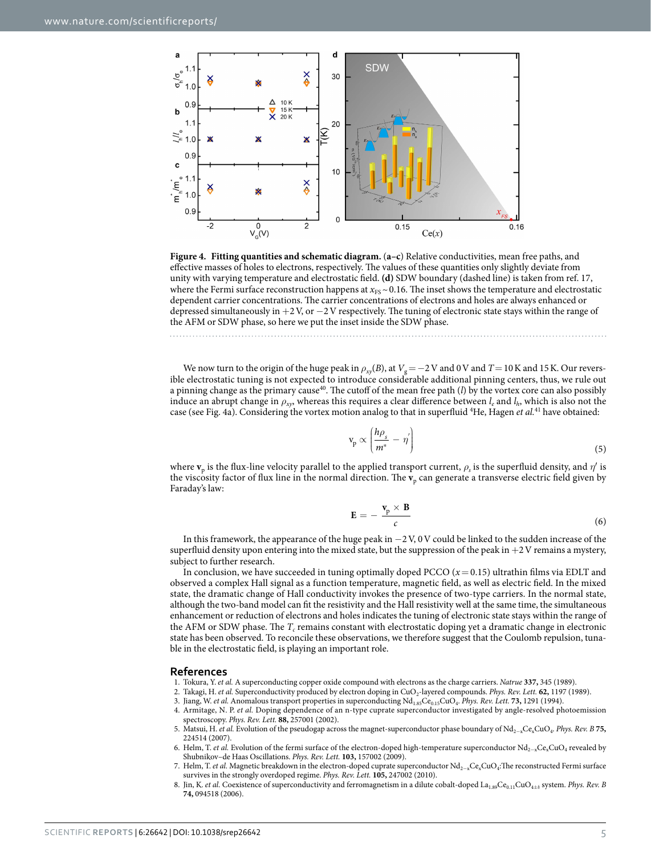

<span id="page-4-8"></span>**Figure 4. Fitting quantities and schematic diagram.** (**a–c**) Relative conductivities, mean free paths, and effective masses of holes to electrons, respectively. The values of these quantities only slightly deviate from unity with varying temperature and electrostatic field. **(d)** SDW boundary (dashed line) is taken from ref. [17](#page-5-8), where the Fermi surface reconstruction happens at  $x_{FS}$  ~ 0.16. The inset shows the temperature and electrostatic dependent carrier concentrations. The carrier concentrations of electrons and holes are always enhanced or depressed simultaneously in +2V, or −2V respectively. The tuning of electronic state stays within the range of the AFM or SDW phase, so here we put the inset inside the SDW phase.

We now turn to the origin of the huge peak in  $\rho_{xy}(B)$ , at  $V_g = -2V$  and 0V and  $T = 10K$  and 15K. Our reversible electrostatic tuning is not expected to introduce considerable additional pinning centers, thus, we rule out a pinning change as the primary cause<sup>40</sup>. The cutoff of the mean free path  $(l)$  by the vortex core can also possibly induce an abrupt change in  $\rho_{xy}$ , whereas this requires a clear difference between  $l_e$  and  $l_h$ , which is also not the case (see [Fig. 4a](#page-4-8)). Considering the vortex motion analog to that in superfluid <sup>4</sup>He, Hagen et al.<sup>41</sup> have obtained:

$$
v_p \propto \left(\frac{h\rho_s}{m^*} - \eta'\right) \tag{5}
$$

where **v**<sub>p</sub> is the flux-line velocity parallel to the applied transport current,  $\rho_s$  is the superfluid density, and  $\eta'$  is the viscosity factor of flux line in the normal direction. The **v**<sub>p</sub> can generate a transverse electric field given by Faraday's law:

$$
\mathbf{E} = -\frac{\mathbf{v}_{\rm p} \times \mathbf{B}}{c} \tag{6}
$$

In this framework, the appearance of the huge peak in −2V, 0V could be linked to the sudden increase of the superfluid density upon entering into the mixed state, but the suppression of the peak in  $+2V$  remains a mystery, subject to further research.

In conclusion, we have succeeded in tuning optimally doped PCCO  $(x=0.15)$  ultrathin films via EDLT and observed a complex Hall signal as a function temperature, magnetic field, as well as electric field. In the mixed state, the dramatic change of Hall conductivity invokes the presence of two-type carriers. In the normal state, although the two-band model can fit the resistivity and the Hall resistivity well at the same time, the simultaneous enhancement or reduction of electrons and holes indicates the tuning of electronic state stays within the range of the AFM or SDW phase. The  $T_c$  remains constant with electrostatic doping yet a dramatic change in electronic state has been observed. To reconcile these observations, we therefore suggest that the Coulomb repulsion, tunable in the electrostatic field, is playing an important role.

#### **References**

- <span id="page-4-0"></span>1. Tokura, Y. *et al.* A superconducting copper oxide compound with electrons as the charge carriers. *Natrue* **337,** 345 (1989).
- <span id="page-4-1"></span>2. Takagi, H. et al. Superconductivity produced by electron doping in CuO<sub>2</sub>-layered compounds. *Phys. Rev. Lett.* **62,** 1197 (1989).
- <span id="page-4-2"></span>3. Jiang, W. *et al.* Anomalous transport properties in superconducting Nd<sub>1.85</sub>Ce<sub>0.15</sub>CuO<sub>4</sub>. *Phys. Rev. Lett.* **73,** 1291 (1994).
- <span id="page-4-3"></span>4. Armitage, N. P. *et al.* Doping dependence of an n-type cuprate superconductor investigated by angle-resolved photoemission spectroscopy. *Phys. Rev. Lett.* **88,** 257001 (2002).
- <span id="page-4-4"></span>5. Matsui, H. *et al.* Evolution of the pseudogap across the magnet-superconductor phase boundary of Nd2−xCexCuO4. *Phys. Rev. B* **75,** 224514 (2007).
- <span id="page-4-5"></span>6. Helm, T. *et al.* Evolution of the fermi surface of the electron-doped high-temperature superconductor Nd<sub>2-x</sub>Ce<sub>x</sub>CuO<sub>4</sub> revealed by Shubnikov–de Haas Oscillations. *Phys. Rev. Lett.* **103,** 157002 (2009).
- <span id="page-4-6"></span>7. Helm, T. et al. Magnetic breakdown in the electron-doped cuprate superconductor Nd<sub>2-x</sub>Ce<sub>x</sub>CuO<sub>4</sub>:The reconstructed Fermi surface survives in the strongly overdoped regime. *Phys. Rev. Lett.* **105,** 247002 (2010).
- <span id="page-4-7"></span>8. Jin, K. *et al.* Coexistence of superconductivity and ferromagnetism in a dilute cobalt-doped La<sub>1.89</sub>Ce<sub>0.11</sub>CuO<sub>4+δ</sub> system. *Phys. Rev. B* **74,** 094518 (2006).